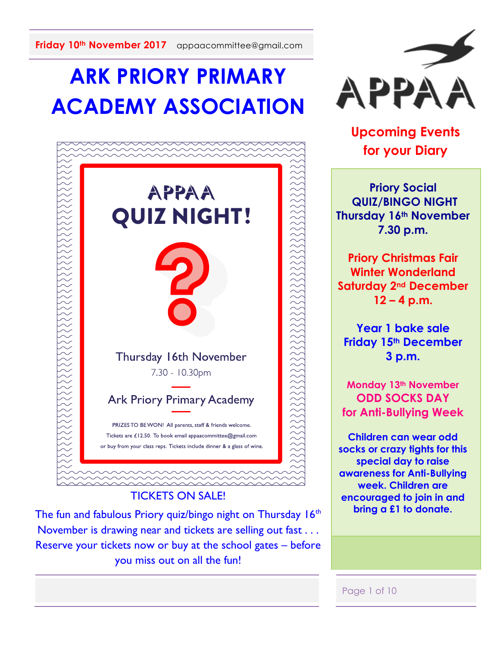# **ARK PRIORY PRIMARY ACADEMY ASSOCIATION**



#### TICKETS ON SALE!

The fun and fabulous Priory quiz/bingo night on Thursday 16<sup>th</sup> November is drawing near and tickets are selling out fast . . . Reserve your tickets now or buy at the school gates – before you miss out on all the fun!



**Upcoming Events for your Diary**

**Priory Social QUIZ/BINGO NIGHT Thursday 16th November 7.30 p.m.**

**Priory Christmas Fair Winter Wonderland Saturday 2nd December 12 – 4 p.m.**

**Year 1 bake sale Friday 15th December 3 p.m.**

**Monday 13th November ODD SOCKS DAY for Anti-Bullying Week**

**Children can wear odd socks or crazy tights for this special day to raise awareness for Anti-Bullying week. Children are encouraged to join in and bring a £1 to donate.** 

#### Page 1 of 10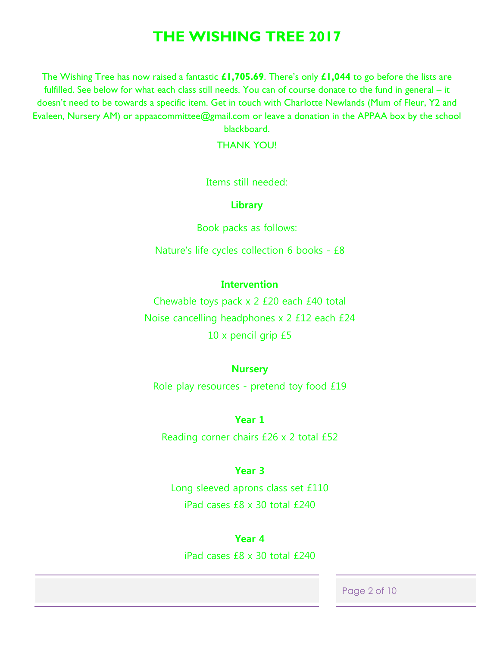# **THE WISHING TREE 2017**

The Wishing Tree has now raised a fantastic **£1,705.69**. There's only **£1,044** to go before the lists are fulfilled. See below for what each class still needs. You can of course donate to the fund in general – it doesn't need to be towards a specific item. Get in touch with Charlotte Newlands (Mum of Fleur, Y2 and Evaleen, Nursery AM) or appaacommittee@gmail.com or leave a donation in the APPAA box by the school blackboard.

THANK YOU!

Items still needed:

**Library**

Book packs as follows:

Nature's life cycles collection 6 books - £8

#### **Intervention**

Chewable toys pack x 2 £20 each £40 total Noise cancelling headphones x 2 £12 each £24 10 x pencil grip £5

#### **Nursery**

Role play resources - pretend toy food £19

**Year 1** Reading corner chairs £26 x 2 total £52

#### **Year 3**

Long sleeved aprons class set £110 iPad cases £8 x 30 total £240

#### **Year 4**

iPad cases £8 x 30 total £240

Page 2 of 10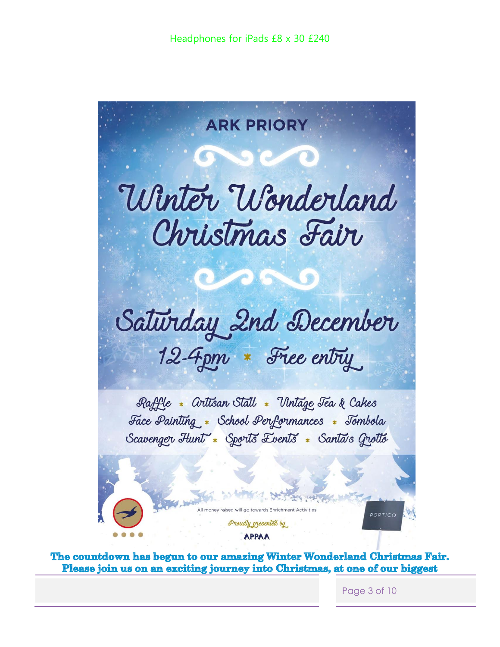

The countdown has begun to our amazing Winter Wonderland Christmas Fair. Please join us on an exciting journey into Christmas, at one of our biggest

Page 3 of 10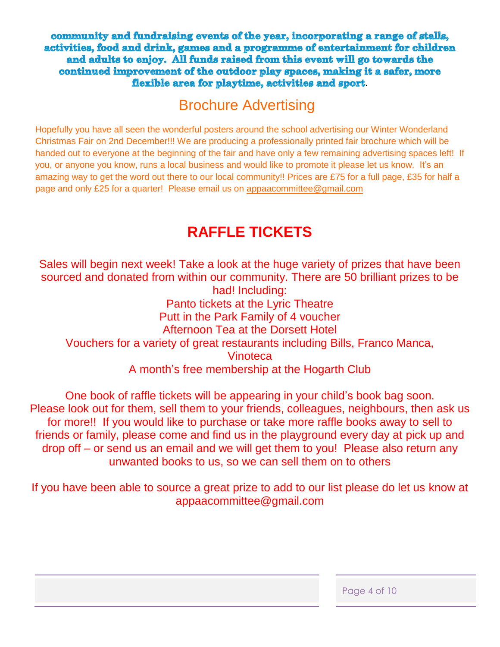community and fundraising events of the year, incorporating a range of stalls, activities, food and drink, games and a programme of entertainment for children and adults to enjoy. All funds raised from this event will go towards the continued improvement of the outdoor play spaces, making it a safer, more flexible area for playtime, activities and sport.

# Brochure Advertising

Hopefully you have all seen the wonderful posters around the school advertising our Winter Wonderland Christmas Fair on 2nd December!!! We are producing a professionally printed fair brochure which will be handed out to everyone at the beginning of the fair and have only a few remaining advertising spaces left! If you, or anyone you know, runs a local business and would like to promote it please let us know. It's an amazing way to get the word out there to our local community!! Prices are £75 for a full page, £35 for half a page and only £25 for a quarter! Please email us on [appaacommittee@gmail.com](mailto:appaacommittee@gmail.com)

# **RAFFLE TICKETS**

Sales will begin next week! Take a look at the huge variety of prizes that have been sourced and donated from within our community. There are 50 brilliant prizes to be had! Including: Panto tickets at the Lyric Theatre Putt in the Park Family of 4 voucher Afternoon Tea at the Dorsett Hotel Vouchers for a variety of great restaurants including Bills, Franco Manca, **Vinoteca** A month's free membership at the Hogarth Club

One book of raffle tickets will be appearing in your child's book bag soon. Please look out for them, sell them to your friends, colleagues, neighbours, then ask us for more!! If you would like to purchase or take more raffle books away to sell to friends or family, please come and find us in the playground every day at pick up and drop off – or send us an email and we will get them to you! Please also return any unwanted books to us, so we can sell them on to others

If you have been able to source a great prize to add to our list please do let us know at appaacommittee@gmail.com

| Page 4 of 10 |  |  |
|--------------|--|--|
|--------------|--|--|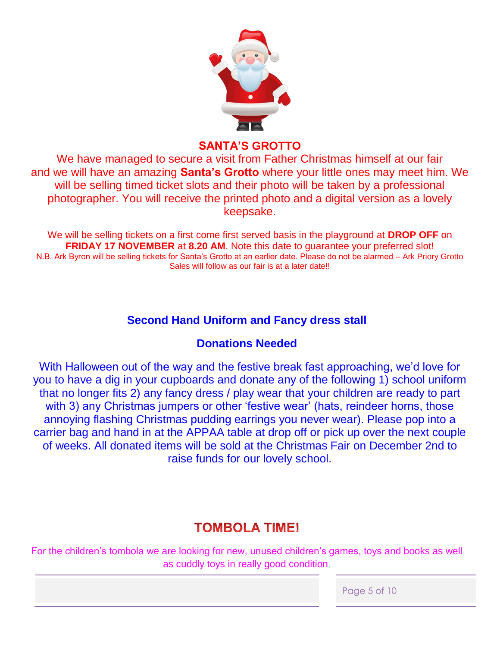

## **SANTA'S GROTTO**

We have managed to secure a visit from Father Christmas himself at our fair and we will have an amazing **Santa's Grotto** where your little ones may meet him. We will be selling timed ticket slots and their photo will be taken by a professional photographer. You will receive the printed photo and a digital version as a lovely keepsake.

We will be selling tickets on a first come first served basis in the playground at **DROP OFF** on **FRIDAY 17 NOVEMBER** at **8.20 AM**. Note this date to guarantee your preferred slot! N.B. Ark Byron will be selling tickets for Santa's Grotto at an earlier date. Please do not be alarmed – Ark Priory Grotto Sales will follow as our fair is at a later date!!

# **Second Hand Uniform and Fancy dress stall**

# **Donations Needed**

With Halloween out of the way and the festive break fast approaching, we'd love for you to have a dig in your cupboards and donate any of the following 1) school uniform that no longer fits 2) any fancy dress / play wear that your children are ready to part with 3) any Christmas jumpers or other 'festive wear' (hats, reindeer horns, those annoying flashing Christmas pudding earrings you never wear). Please pop into a carrier bag and hand in at the APPAA table at drop off or pick up over the next couple of weeks. All donated items will be sold at the Christmas Fair on December 2nd to raise funds for our lovely school.

# **TOMBOLA TIME!**

For the children's tombola we are looking for new, unused children's games, toys and books as well as cuddly toys in really good condition.

Page 5 of 10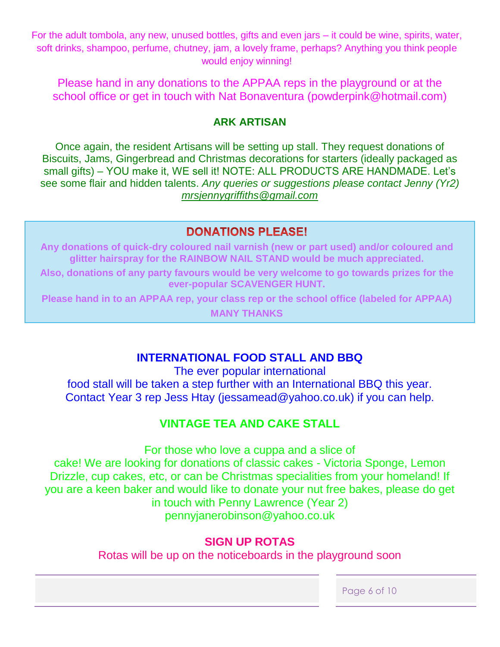For the adult tombola, any new, unused bottles, gifts and even jars – it could be wine, spirits, water, soft drinks, shampoo, perfume, chutney, jam, a lovely frame, perhaps? Anything you think people would enjoy winning!

Please hand in any donations to the APPAA reps in the playground or at the school office or get in touch with Nat Bonaventura (powderpink@hotmail.com)

### **ARK ARTISAN**

Once again, the resident Artisans will be setting up stall. They request donations of Biscuits, Jams, Gingerbread and Christmas decorations for starters (ideally packaged as small gifts) – YOU make it, WE sell it! NOTE: ALL PRODUCTS ARE HANDMADE. Let's see some flair and hidden talents. *Any queries or suggestions please contact Jenny (Yr2) [mrsjennygriffiths@gmail.com](mailto:mrsjennygriffiths@gmail.com)*

# **DONATIONS PLEASE!**

**Any donations of quick-dry coloured nail varnish (new or part used) and/or coloured and glitter hairspray for the RAINBOW NAIL STAND would be much appreciated.**

**Also, donations of any party favours would be very welcome to go towards prizes for the ever-popular SCAVENGER HUNT.**

**Please hand in to an APPAA rep, your class rep or the school office (labeled for APPAA)**

**MANY THANKS**

# **INTERNATIONAL FOOD STALL AND BBQ**

The ever popular international food stall will be taken a step further with an International BBQ this year. Contact Year 3 rep Jess Htay (jessamead@yahoo.co.uk) if you can help.

# **VINTAGE TEA AND CAKE STALL**

For those who love a cuppa and a slice of cake! We are looking for donations of classic cakes - Victoria Sponge, Lemon Drizzle, cup cakes, etc, or can be Christmas specialities from your homeland! If you are a keen baker and would like to donate your nut free bakes, please do get in touch with Penny Lawrence (Year 2) pennyjanerobinson@yahoo.co.uk

# **SIGN UP ROTAS**

Rotas will be up on the noticeboards in the playground soon

Page 6 of 10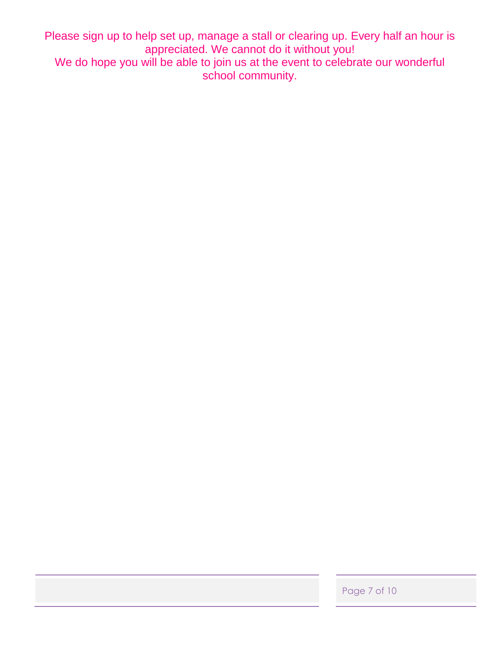Please sign up to help set up, manage a stall or clearing up. Every half an hour is appreciated. We cannot do it without you!

We do hope you will be able to join us at the event to celebrate our wonderful school community.

Page 7 of 10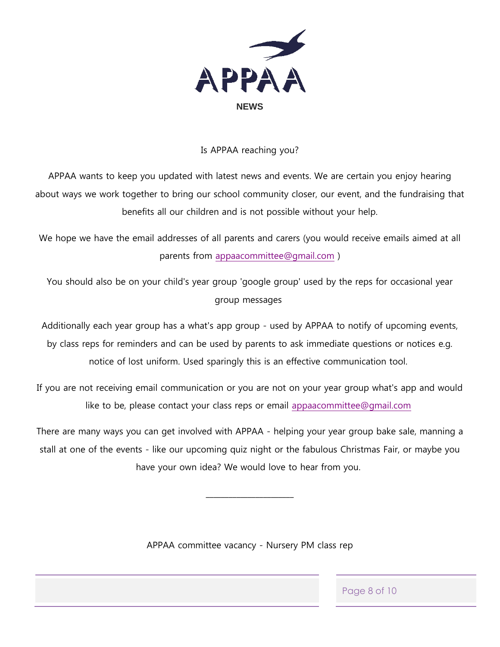

#### Is APPAA reaching you?

APPAA wants to keep you updated with latest news and events. We are certain you enjoy hearing about ways we work together to bring our school community closer, our event, and the fundraising that benefits all our children and is not possible without your help.

We hope we have the email addresses of all parents and carers (you would receive emails aimed at all parents from [appaacommittee@gmail.com](mailto:appaacommittee@gmail.com) )

You should also be on your child's year group 'google group' used by the reps for occasional year group messages

Additionally each year group has a what's app group - used by APPAA to notify of upcoming events, by class reps for reminders and can be used by parents to ask immediate questions or notices e.g. notice of lost uniform. Used sparingly this is an effective communication tool.

If you are not receiving email communication or you are not on your year group what's app and would like to be, please contact your class reps or email [appaacommittee@gmail.com](mailto:appaacommittee@gmail.com)

There are many ways you can get involved with APPAA - helping your year group bake sale, manning a stall at one of the events - like our upcoming quiz night or the fabulous Christmas Fair, or maybe you have your own idea? We would love to hear from you.

 $\overline{\phantom{a}}$  , where the contract of the contract of the contract of the contract of the contract of the contract of the contract of the contract of the contract of the contract of the contract of the contract of the contr

APPAA committee vacancy - Nursery PM class rep

Page 8 of 10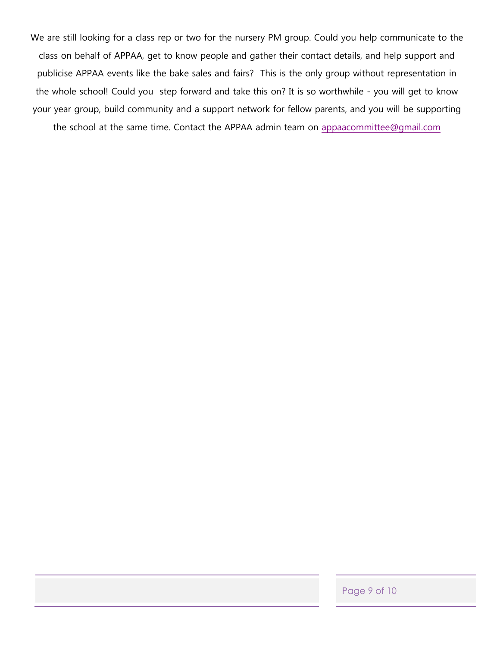We are still looking for a class rep or two for the nursery PM group. Could you help communicate to the class on behalf of APPAA, get to know people and gather their contact details, and help support and publicise APPAA events like the bake sales and fairs? This is the only group without representation in the whole school! Could you step forward and take this on? It is so worthwhile - you will get to know your year group, build community and a support network for fellow parents, and you will be supporting

the school at the same time. Contact the APPAA admin team on [appaacommittee@gmail.com](mailto:appaacommittee@gmail.com)

Page 9 of 10